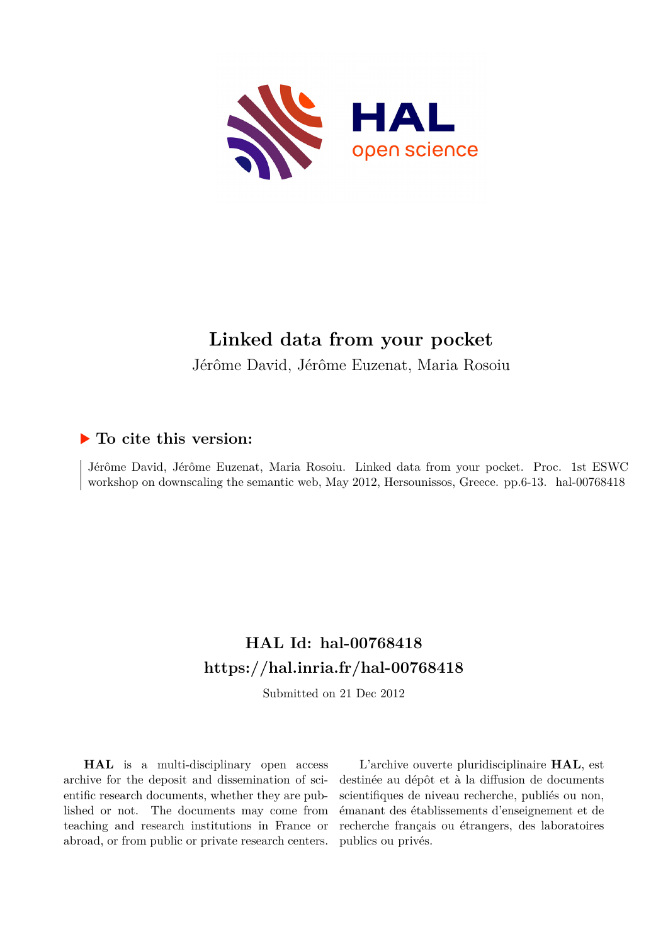

# **Linked data from your pocket**

Jérôme David, Jérôme Euzenat, Maria Rosoiu

## **To cite this version:**

Jérôme David, Jérôme Euzenat, Maria Rosoiu. Linked data from your pocket. Proc. 1st ESWC workshop on downscaling the semantic web, May 2012, Hersounissos, Greece. pp.6-13. hal-00768418

## **HAL Id: hal-00768418 <https://hal.inria.fr/hal-00768418>**

Submitted on 21 Dec 2012

**HAL** is a multi-disciplinary open access archive for the deposit and dissemination of scientific research documents, whether they are published or not. The documents may come from teaching and research institutions in France or abroad, or from public or private research centers.

L'archive ouverte pluridisciplinaire **HAL**, est destinée au dépôt et à la diffusion de documents scientifiques de niveau recherche, publiés ou non, émanant des établissements d'enseignement et de recherche français ou étrangers, des laboratoires publics ou privés.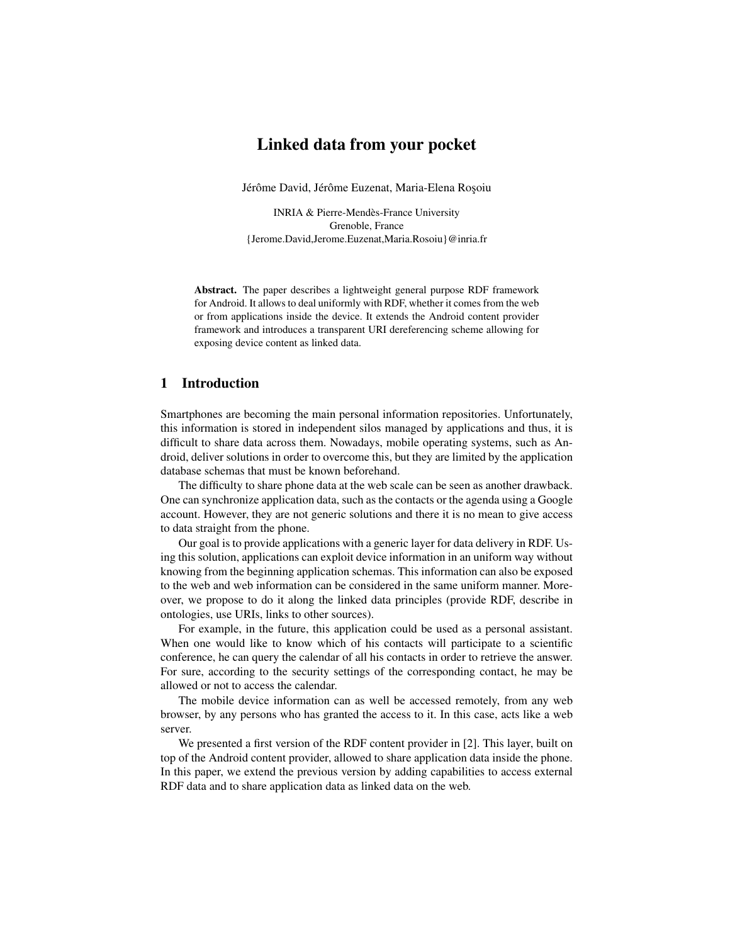## Linked data from your pocket

Jérôme David, Jérôme Euzenat, Maria-Elena Roșoiu

INRIA & Pierre-Mendès-France University Grenoble, France {Jerome.David,Jerome.Euzenat,Maria.Rosoiu}@inria.fr

Abstract. The paper describes a lightweight general purpose RDF framework for Android. It allows to deal uniformly with RDF, whether it comes from the web or from applications inside the device. It extends the Android content provider framework and introduces a transparent URI dereferencing scheme allowing for exposing device content as linked data.

### 1 Introduction

Smartphones are becoming the main personal information repositories. Unfortunately, this information is stored in independent silos managed by applications and thus, it is difficult to share data across them. Nowadays, mobile operating systems, such as Android, deliver solutions in order to overcome this, but they are limited by the application database schemas that must be known beforehand.

The difficulty to share phone data at the web scale can be seen as another drawback. One can synchronize application data, such as the contacts or the agenda using a Google account. However, they are not generic solutions and there it is no mean to give access to data straight from the phone.

Our goal is to provide applications with a generic layer for data delivery in RDF. Using this solution, applications can exploit device information in an uniform way without knowing from the beginning application schemas. This information can also be exposed to the web and web information can be considered in the same uniform manner. Moreover, we propose to do it along the linked data principles (provide RDF, describe in ontologies, use URIs, links to other sources).

For example, in the future, this application could be used as a personal assistant. When one would like to know which of his contacts will participate to a scientific conference, he can query the calendar of all his contacts in order to retrieve the answer. For sure, according to the security settings of the corresponding contact, he may be allowed or not to access the calendar.

The mobile device information can as well be accessed remotely, from any web browser, by any persons who has granted the access to it. In this case, acts like a web server.

We presented a first version of the RDF content provider in [2]. This layer, built on top of the Android content provider, allowed to share application data inside the phone. In this paper, we extend the previous version by adding capabilities to access external RDF data and to share application data as linked data on the web.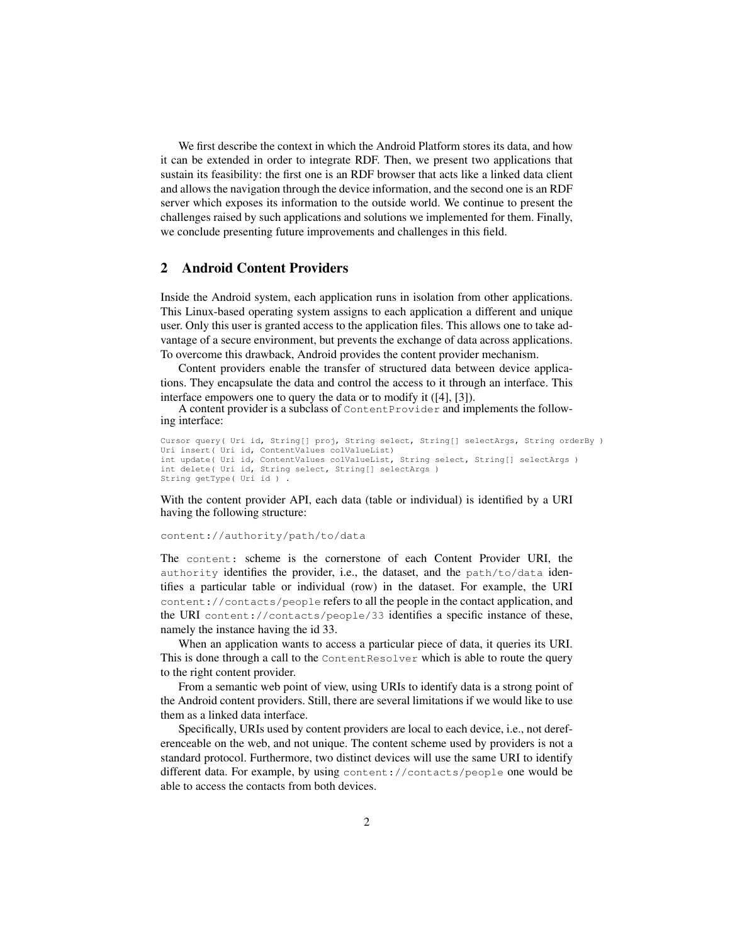We first describe the context in which the Android Platform stores its data, and how it can be extended in order to integrate RDF. Then, we present two applications that sustain its feasibility: the first one is an RDF browser that acts like a linked data client and allows the navigation through the device information, and the second one is an RDF server which exposes its information to the outside world. We continue to present the challenges raised by such applications and solutions we implemented for them. Finally, we conclude presenting future improvements and challenges in this field.

## 2 Android Content Providers

Inside the Android system, each application runs in isolation from other applications. This Linux-based operating system assigns to each application a different and unique user. Only this user is granted access to the application files. This allows one to take advantage of a secure environment, but prevents the exchange of data across applications. To overcome this drawback, Android provides the content provider mechanism.

Content providers enable the transfer of structured data between device applications. They encapsulate the data and control the access to it through an interface. This interface empowers one to query the data or to modify it ([4], [3]).

A content provider is a subclass of ContentProvider and implements the following interface:

```
Cursor query( Uri id, String[] proj, String select, String[] selectArgs, String orderBy )
Uri insert( Uri id, ContentValues colValueList)
int update( Uri id, ContentValues colValueList, String select, String[] selectArgs )
int delete( Uri id, String select, String[] selectArgs )
String getType( Uri id ) .
```
With the content provider API, each data (table or individual) is identified by a URI having the following structure:

content://authority/path/to/data

The content: scheme is the cornerstone of each Content Provider URI, the authority identifies the provider, i.e., the dataset, and the path/to/data identifies a particular table or individual (row) in the dataset. For example, the URI content://contacts/people refers to all the people in the contact application, and the URI content://contacts/people/33 identifies a specific instance of these, namely the instance having the id 33.

When an application wants to access a particular piece of data, it queries its URI. This is done through a call to the ContentResolver which is able to route the query to the right content provider.

From a semantic web point of view, using URIs to identify data is a strong point of the Android content providers. Still, there are several limitations if we would like to use them as a linked data interface.

Specifically, URIs used by content providers are local to each device, i.e., not dereferenceable on the web, and not unique. The content scheme used by providers is not a standard protocol. Furthermore, two distinct devices will use the same URI to identify different data. For example, by using content://contacts/people one would be able to access the contacts from both devices.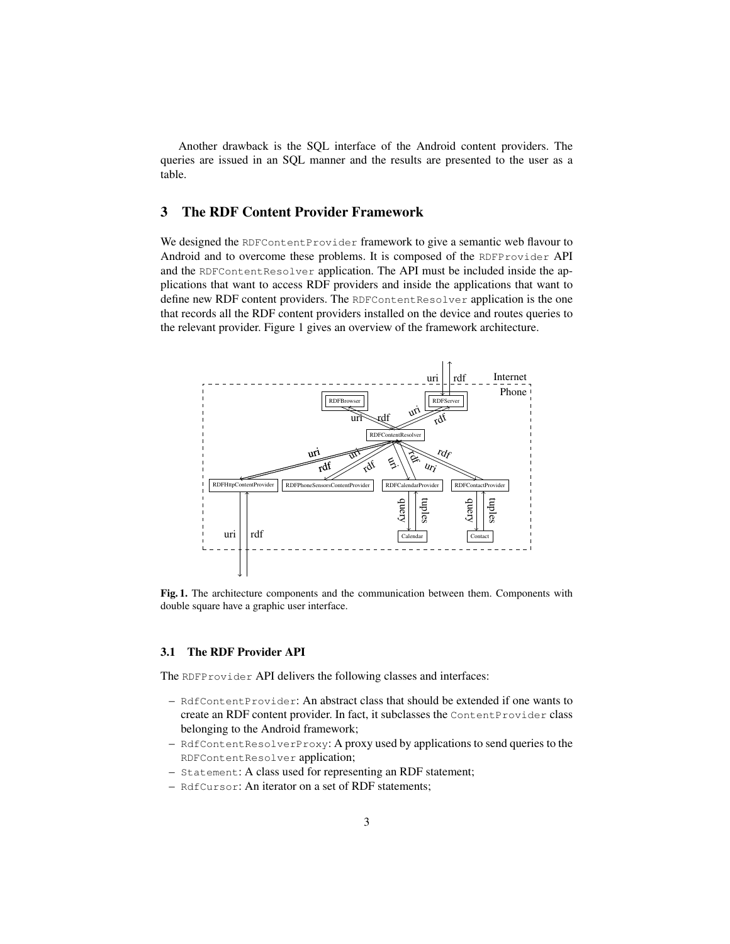Another drawback is the SQL interface of the Android content providers. The queries are issued in an SQL manner and the results are presented to the user as a table.

## 3 The RDF Content Provider Framework

We designed the RDFContentProvider framework to give a semantic web flavour to Android and to overcome these problems. It is composed of the RDFProvider API and the RDFContentResolver application. The API must be included inside the applications that want to access RDF providers and inside the applications that want to define new RDF content providers. The RDFContentResolver application is the one that records all the RDF content providers installed on the device and routes queries to the relevant provider. Figure 1 gives an overview of the framework architecture.



Fig. 1. The architecture components and the communication between them. Components with double square have a graphic user interface.

#### 3.1 The RDF Provider API

The RDFProvider API delivers the following classes and interfaces:

- RdfContentProvider: An abstract class that should be extended if one wants to create an RDF content provider. In fact, it subclasses the ContentProvider class belonging to the Android framework;
- RdfContentResolverProxy: A proxy used by applications to send queries to the RDFContentResolver application;
- Statement: A class used for representing an RDF statement;
- RdfCursor: An iterator on a set of RDF statements;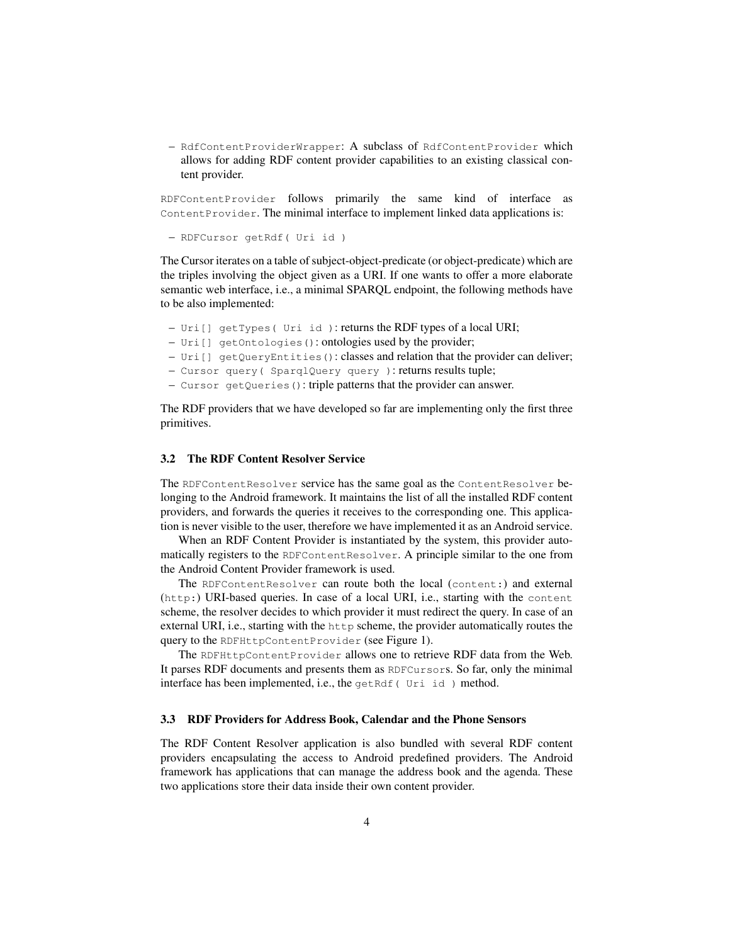– RdfContentProviderWrapper: A subclass of RdfContentProvider which allows for adding RDF content provider capabilities to an existing classical content provider.

RDFContentProvider follows primarily the same kind of interface as ContentProvider. The minimal interface to implement linked data applications is:

```
– RDFCursor getRdf( Uri id )
```
The Cursor iterates on a table of subject-object-predicate (or object-predicate) which are the triples involving the object given as a URI. If one wants to offer a more elaborate semantic web interface, i.e., a minimal SPARQL endpoint, the following methods have to be also implemented:

- Uri[] getTypes( Uri id ): returns the RDF types of a local URI;
- Uri[] getOntologies(): ontologies used by the provider;
- $-$  Uri $[$  getQueryEntities(): classes and relation that the provider can deliver;
- Cursor query( SparqlQuery query ): returns results tuple;
- Cursor getQueries(): triple patterns that the provider can answer.

The RDF providers that we have developed so far are implementing only the first three primitives.

#### 3.2 The RDF Content Resolver Service

The RDFContentResolver service has the same goal as the ContentResolver belonging to the Android framework. It maintains the list of all the installed RDF content providers, and forwards the queries it receives to the corresponding one. This application is never visible to the user, therefore we have implemented it as an Android service.

When an RDF Content Provider is instantiated by the system, this provider automatically registers to the RDFContentResolver. A principle similar to the one from the Android Content Provider framework is used.

The RDFContentResolver can route both the local (content:) and external (http:) URI-based queries. In case of a local URI, i.e., starting with the content scheme, the resolver decides to which provider it must redirect the query. In case of an external URI, i.e., starting with the http scheme, the provider automatically routes the query to the RDFHttpContentProvider (see Figure 1).

The RDFHttpContentProvider allows one to retrieve RDF data from the Web. It parses RDF documents and presents them as RDFCursors. So far, only the minimal interface has been implemented, i.e., the getRdf( Uri id) method.

#### 3.3 RDF Providers for Address Book, Calendar and the Phone Sensors

The RDF Content Resolver application is also bundled with several RDF content providers encapsulating the access to Android predefined providers. The Android framework has applications that can manage the address book and the agenda. These two applications store their data inside their own content provider.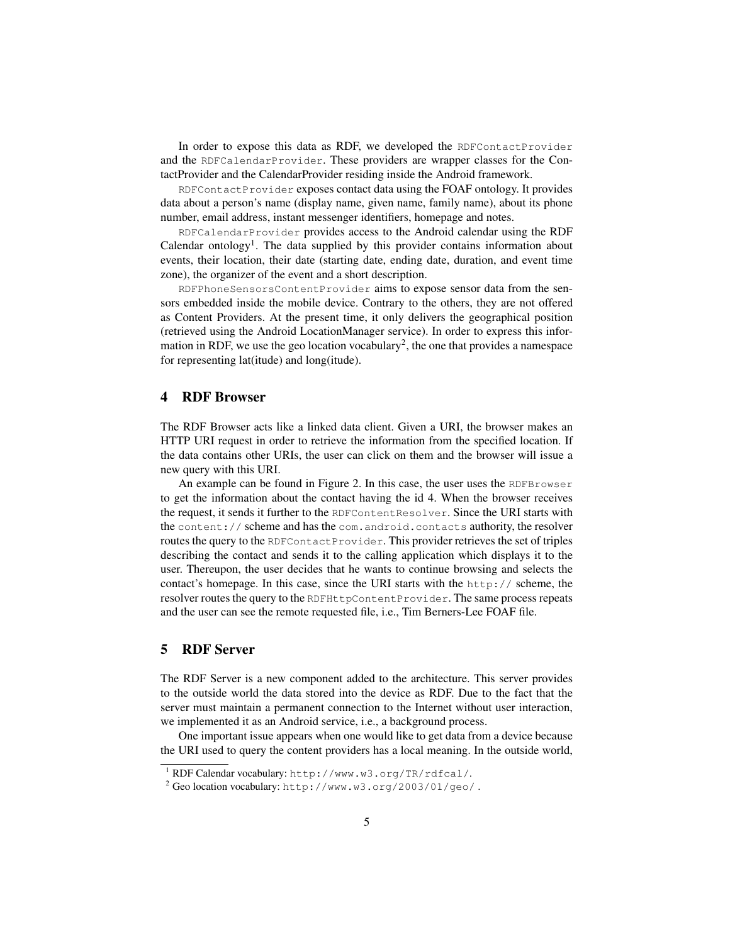In order to expose this data as RDF, we developed the RDFContactProvider and the RDFCalendarProvider. These providers are wrapper classes for the ContactProvider and the CalendarProvider residing inside the Android framework.

RDFContactProvider exposes contact data using the FOAF ontology. It provides data about a person's name (display name, given name, family name), about its phone number, email address, instant messenger identifiers, homepage and notes.

RDFCalendarProvider provides access to the Android calendar using the RDF Calendar ontology<sup>1</sup>. The data supplied by this provider contains information about events, their location, their date (starting date, ending date, duration, and event time zone), the organizer of the event and a short description.

RDFPhoneSensorsContentProvider aims to expose sensor data from the sensors embedded inside the mobile device. Contrary to the others, they are not offered as Content Providers. At the present time, it only delivers the geographical position (retrieved using the Android LocationManager service). In order to express this information in RDF, we use the geo location vocabulary<sup>2</sup>, the one that provides a namespace for representing lat(itude) and long(itude).

#### 4 RDF Browser

The RDF Browser acts like a linked data client. Given a URI, the browser makes an HTTP URI request in order to retrieve the information from the specified location. If the data contains other URIs, the user can click on them and the browser will issue a new query with this URI.

An example can be found in Figure 2. In this case, the user uses the RDFBrowser to get the information about the contact having the id 4. When the browser receives the request, it sends it further to the RDFContentResolver. Since the URI starts with the content:// scheme and has the com.android.contacts authority, the resolver routes the query to the RDFContactProvider. This provider retrieves the set of triples describing the contact and sends it to the calling application which displays it to the user. Thereupon, the user decides that he wants to continue browsing and selects the contact's homepage. In this case, since the URI starts with the http:// scheme, the resolver routes the query to the RDFHttpContentProvider. The same process repeats and the user can see the remote requested file, i.e., Tim Berners-Lee FOAF file.

## 5 RDF Server

The RDF Server is a new component added to the architecture. This server provides to the outside world the data stored into the device as RDF. Due to the fact that the server must maintain a permanent connection to the Internet without user interaction, we implemented it as an Android service, i.e., a background process.

One important issue appears when one would like to get data from a device because the URI used to query the content providers has a local meaning. In the outside world,

<sup>1</sup> RDF Calendar vocabulary: http://www.w3.org/TR/rdfcal/.

<sup>2</sup> Geo location vocabulary: http://www.w3.org/2003/01/geo/ .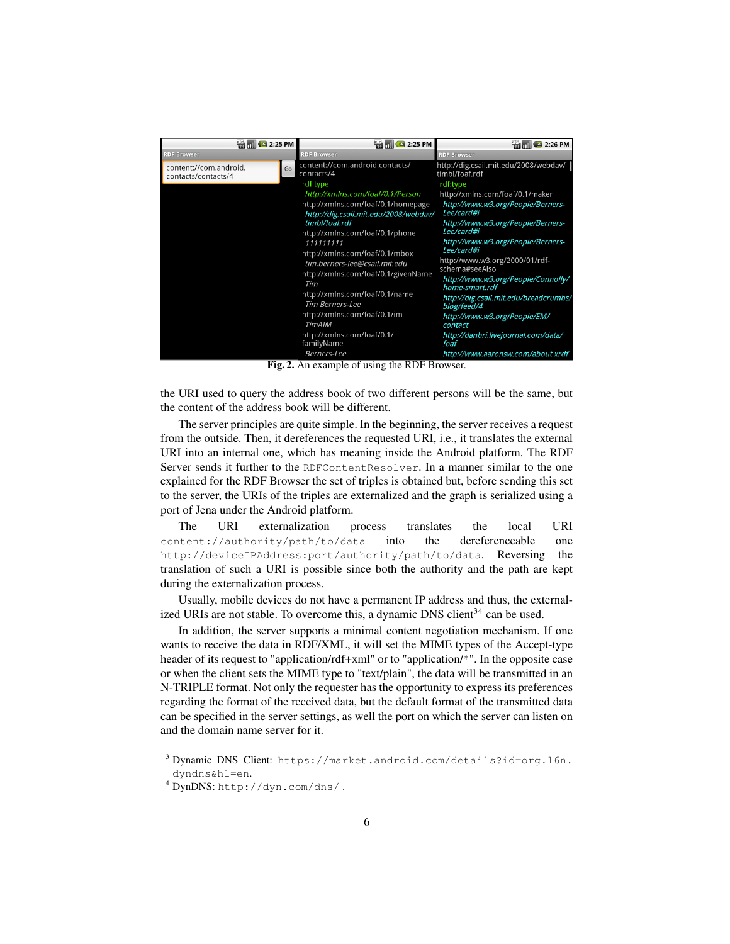| $\frac{1}{2}$ m $\frac{1}{2}$ 2:25 PM<br><b>RDF Browser</b> |    | <b>Example</b> 2:25 PM<br><b>RDF Browser</b>                                                                                                                                                                                                                                                                                                                                                                                                                                                                             | <b>Example 2 2:26 PM</b><br><b>RDF Browser</b>                                                                                                                                                                                                                                                                                                                                                                                                                                                                                |
|-------------------------------------------------------------|----|--------------------------------------------------------------------------------------------------------------------------------------------------------------------------------------------------------------------------------------------------------------------------------------------------------------------------------------------------------------------------------------------------------------------------------------------------------------------------------------------------------------------------|-------------------------------------------------------------------------------------------------------------------------------------------------------------------------------------------------------------------------------------------------------------------------------------------------------------------------------------------------------------------------------------------------------------------------------------------------------------------------------------------------------------------------------|
| content://com.android.<br>contacts/contacts/4               | Go | content://com.android.contacts/<br>contacts/4<br>rdf:type<br>http://xmlns.com/foaf/0.1/Person<br>http://xmlns.com/foaf/0.1/homepage<br>http://dig.csail.mit.edu/2008/webdav/<br>timbl/foaf.rdf<br>http://xmlns.com/foaf/0.1/phone<br>111111111<br>http://xmlns.com/foaf/0.1/mbox<br>tim.berners-lee@csail.mit.edu<br>http://xmlns.com/foaf/0.1/givenName<br>Tim<br>http://xmlns.com/foaf/0.1/name<br><b>Tim Berners-Lee</b><br>http://xmlns.com/foaf/0.1/im<br><b>TimAIM</b><br>http://xmlns.com/foaf/0.1/<br>familyName | http://dig.csail.mit.edu/2008/webdav/<br>timbl/foaf.rdf<br>rdf:type<br>http://xmlns.com/foaf/0.1/maker<br>http://www.w3.org/People/Berners-<br>Lee/card#i<br>http://www.w3.org/People/Berners-<br>Lee/card#i<br>http://www.w3.org/People/Berners-<br>Lee/card#i<br>http://www.w3.org/2000/01/rdf-<br>schema#seeAlso<br>http://www.w3.org/People/Connolly/<br>home-smart.rdf<br>http://dig.csail.mit.edu/breadcrumbs/<br>blog/feed/4<br>http://www.w3.org/People/EM/<br>contact<br>http://danbri.livejournal.com/data/<br>foaf |
|                                                             |    | Berners-Lee                                                                                                                                                                                                                                                                                                                                                                                                                                                                                                              | http://www.aaronsw.com/about.xrdf                                                                                                                                                                                                                                                                                                                                                                                                                                                                                             |

Fig. 2. An example of using the RDF Browser.

the URI used to query the address book of two different persons will be the same, but the content of the address book will be different.

The server principles are quite simple. In the beginning, the server receives a request from the outside. Then, it dereferences the requested URI, i.e., it translates the external URI into an internal one, which has meaning inside the Android platform. The RDF Server sends it further to the RDFContentResolver. In a manner similar to the one explained for the RDF Browser the set of triples is obtained but, before sending this set to the server, the URIs of the triples are externalized and the graph is serialized using a port of Jena under the Android platform.

The URI externalization process translates the local URI content://authority/path/to/data into the dereferenceable one http://deviceIPAddress:port/authority/path/to/data. Reversing the translation of such a URI is possible since both the authority and the path are kept during the externalization process.

Usually, mobile devices do not have a permanent IP address and thus, the externalized URIs are not stable. To overcome this, a dynamic DNS client<sup>34</sup> can be used.

In addition, the server supports a minimal content negotiation mechanism. If one wants to receive the data in RDF/XML, it will set the MIME types of the Accept-type header of its request to "application/rdf+xml" or to "application/\*". In the opposite case or when the client sets the MIME type to "text/plain", the data will be transmitted in an N-TRIPLE format. Not only the requester has the opportunity to express its preferences regarding the format of the received data, but the default format of the transmitted data can be specified in the server settings, as well the port on which the server can listen on and the domain name server for it.

<sup>3</sup> Dynamic DNS Client: https://market.android.com/details?id=org.l6n. dyndns&hl=en.

<sup>4</sup> DynDNS: http://dyn.com/dns/ .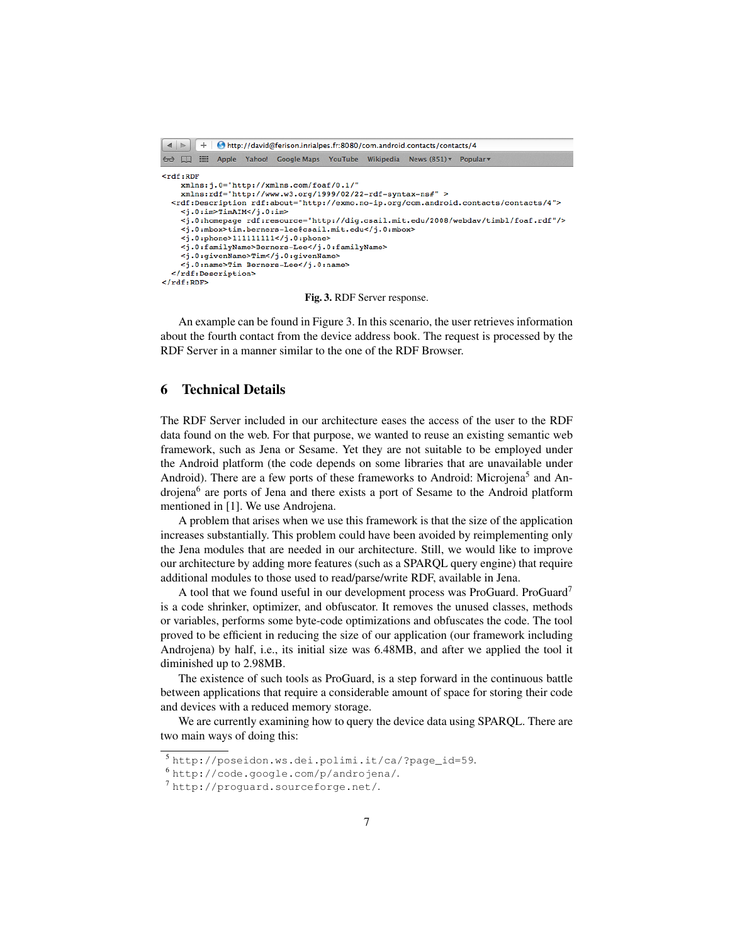

Fig. 3. RDF Server response.

An example can be found in Figure 3. In this scenario, the user retrieves information about the fourth contact from the device address book. The request is processed by the RDF Server in a manner similar to the one of the RDF Browser.

## 6 Technical Details

The RDF Server included in our architecture eases the access of the user to the RDF data found on the web. For that purpose, we wanted to reuse an existing semantic web framework, such as Jena or Sesame. Yet they are not suitable to be employed under the Android platform (the code depends on some libraries that are unavailable under Android). There are a few ports of these frameworks to Android: Microjena<sup>5</sup> and Androjena<sup>6</sup> are ports of Jena and there exists a port of Sesame to the Android platform mentioned in [1]. We use Androjena.

A problem that arises when we use this framework is that the size of the application increases substantially. This problem could have been avoided by reimplementing only the Jena modules that are needed in our architecture. Still, we would like to improve our architecture by adding more features (such as a SPARQL query engine) that require additional modules to those used to read/parse/write RDF, available in Jena.

A tool that we found useful in our development process was ProGuard. ProGuard<sup>7</sup> is a code shrinker, optimizer, and obfuscator. It removes the unused classes, methods or variables, performs some byte-code optimizations and obfuscates the code. The tool proved to be efficient in reducing the size of our application (our framework including Androjena) by half, i.e., its initial size was 6.48MB, and after we applied the tool it diminished up to 2.98MB.

The existence of such tools as ProGuard, is a step forward in the continuous battle between applications that require a considerable amount of space for storing their code and devices with a reduced memory storage.

We are currently examining how to query the device data using SPARQL. There are two main ways of doing this:

<sup>5</sup> http://poseidon.ws.dei.polimi.it/ca/?page\_id=59.

<sup>6</sup> http://code.google.com/p/androjena/.

<sup>7</sup> http://proguard.sourceforge.net/.